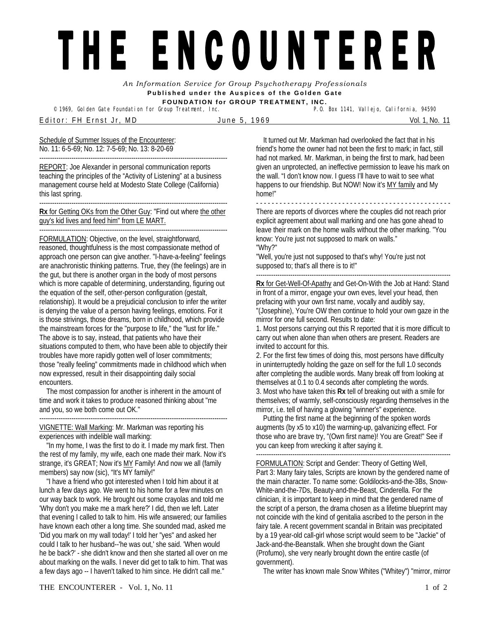## THE ENCOUNTERER

*An Information Service for Group Psychotherapy Professionals*  **Published under the Auspices of the Golden Gate FOUNDATION for GROUP TREATMENT, INC.** 

<sup>©</sup> 1969, Golden Gate Foundation for Group Treatment, Inc.

Editor: FH Ernst Jr, MD June 5, 1969 Vol. 1, No. 11

Schedule of Summer Issues of the Encounterer: No. 11: 6-5-69; No. 12: 7-5-69; No. 13: 8-20-69

---------------------------------------------------------------------------------------- REPORT: Joe Alexander in personal communication reports teaching the principles of the "Activity of Listening" at a business management course held at Modesto State College (California) this last spring.

**Rx** for Getting OKs from the Other Guy: "Find out where the other guy's kid lives and feed him" from LE MART.

----------------------------------------------------------------------------------------

----------------------------------------------------------------------------------------

FORMULATION: Objective, on the level, straightforward, reasoned, thoughtfulness is the most compassionate method of approach one person can give another. "I-have-a-feeling" feelings are anachronistic thinking patterns. True, they (the feelings) are in the gut, but there is another organ in the body of most persons which is more capable of determining, understanding, figuring out the equation of the self, other-person configuration (gestalt, relationship). It would be a prejudicial conclusion to infer the writer is denying the value of a person having feelings, emotions. For it is those strivings, those dreams, born in childhood, which provide the mainstream forces for the "purpose to life," the "lust for life." The above is to say, instead, that patients who have their situations computed to them, who have been able to objectify their troubles have more rapidly gotten well of loser commitments; those "really feeling" commitments made in childhood which when now expressed, result in their disappointing daily social encounters.

 The most compassion for another is inherent in the amount of time and work it takes to produce reasoned thinking about "me and you, so we both come out OK." ----------------------------------------------------------------------------------------

VIGNETTE: Wall Marking: Mr. Markman was reporting his experiences with indelible wall marking:

 "In my home, I was the first to do it. I made my mark first. Then the rest of my family, my wife, each one made their mark. Now it's strange, it's GREAT; Now it's MY Family! And now we all (family members) say now (sic), "It's MY family!"

 "I have a friend who got interested when I told him about it at lunch a few days ago. We went to his home for a few minutes on our way back to work. He brought out some crayolas and told me 'Why don't you make me a mark here?' I did, then we left. Later that evening I called to talk to him. His wife answered; our families have known each other a long time. She sounded mad, asked me 'Did you mark on my wall today!' I told her "yes" and asked her could I talk to her husband--'he was out,' she said. 'When would he be back?' - she didn't know and then she started all over on me about marking on the walls. I never did get to talk to him. That was a few days ago -- I haven't talked to him since. He didn't call me."

 It turned out Mr. Markman had overlooked the fact that in his friend's home the owner had not been the first to mark; in fact, still had not marked. Mr. Markman, in being the first to mark, had been given an unprotected, an ineffective permission to leave his mark on the wall. "I don't know now. I guess I'll have to wait to see what happens to our friendship. But NOW! Now it's MY family and My home!"

- - - - - - - - - - - - - - - - - - - - - - - - - - - - - - - - - - - - - - - - - - - - - - - - - - There are reports of divorces where the couples did not reach prior explicit agreement about wall marking and one has gone ahead to leave their mark on the home walls without the other marking. "You know: You're just not supposed to mark on walls." "Why?"

"Well, you're just not supposed to that's why! You're just not supposed to; that's all there is to it!"

-------------------------------------------------------------------------------------------

**Rx** for Get-Well-Of-Apathy and Get-On-With the Job at Hand: Stand in front of a mirror, engage your own eves, level your head, then prefacing with your own first name, vocally and audibly say, "(Josephine), You're OW then continue to hold your own gaze in the mirror for one full second. Results to date:

1. Most persons carrying out this R reported that it is more difficult to carry out when alone than when others are present. Readers are invited to account for this.

2. For the first few times of doing this, most persons have difficulty in uninterruptedly holding the gaze on self for the full 1.0 seconds after completing the audible words. Many break off from looking at themselves at 0.1 to 0.4 seconds after completing the words. 3. Most who have taken this **Rx** tell of breaking out with a smile for themselves; of warmly, self-consciously regarding themselves in the mirror, i.e. tell of having a glowing "winner's" experience.

 Putting the first name at the beginning of the spoken words augments (by x5 to x10) the warming-up, galvanizing effect. For those who are brave try, "(Own first name)! You are Great!" See if you can keep from wrecking it after saying it.

-------------------------------------------------------------------------------------------

FORMULATION: Script and Gender: Theory of Getting Well, Part 3: Many fairy tales, Scripts are known by the gendered name of the main character. To name some: Goldilocks-and-the-3Bs, Snow-White-and-the-7Ds, Beauty-and-the-Beast, Cinderella. For the clinician, it is important to keep in mind that the gendered name of the script of a person, the drama chosen as a lifetime blueprint may not coincide with the kind of genitalia ascribed to the person in the fairy tale. A recent government scandal in Britain was precipitated by a 19 year-old call-girl whose script would seem to be "Jackie" of Jack-and-the-Beanstalk. When she brought down the Giant (Profumo), she very nearly brought down the entire castle (of government).

The writer has known male Snow Whites ("Whitey") "mirror, mirror